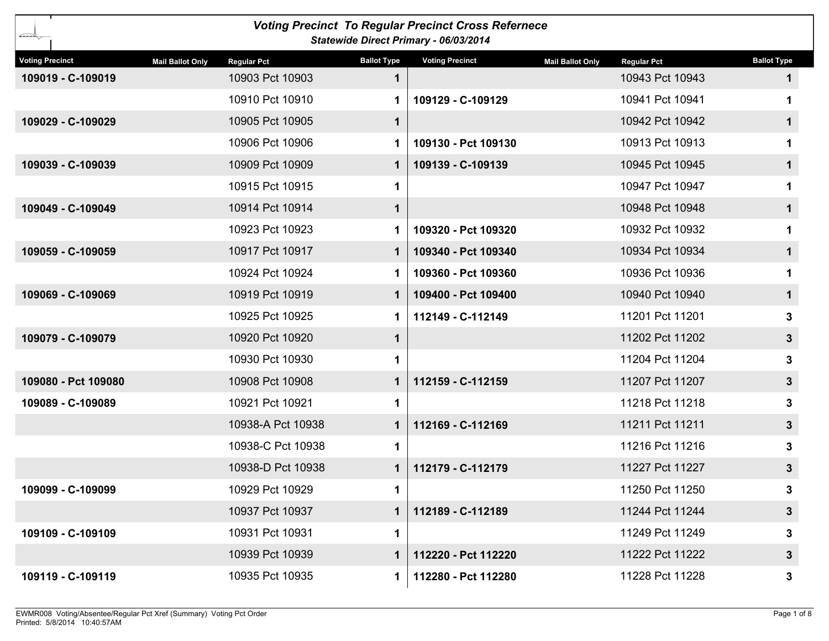|                        |                                               |                    | <b>Voting Precinct To Regular Precinct Cross Refernece</b><br>Statewide Direct Primary - 06/03/2014 |                                               |                    |
|------------------------|-----------------------------------------------|--------------------|-----------------------------------------------------------------------------------------------------|-----------------------------------------------|--------------------|
| <b>Voting Precinct</b> | <b>Mail Ballot Only</b><br><b>Regular Pct</b> | <b>Ballot Type</b> | <b>Voting Precinct</b>                                                                              | <b>Mail Ballot Only</b><br><b>Regular Pct</b> | <b>Ballot Type</b> |
| 109019 - C-109019      | 10903 Pct 10903                               | 1                  |                                                                                                     | 10943 Pct 10943                               | $\mathbf 1$        |
|                        | 10910 Pct 10910                               | 1                  | 109129 - C-109129                                                                                   | 10941 Pct 10941                               | 1.                 |
| 109029 - C-109029      | 10905 Pct 10905                               | $\mathbf{1}$       |                                                                                                     | 10942 Pct 10942                               | $\mathbf{1}$       |
|                        | 10906 Pct 10906                               | 1.                 | 109130 - Pct 109130                                                                                 | 10913 Pct 10913                               | 1                  |
| 109039 - C-109039      | 10909 Pct 10909                               | 1                  | 109139 - C-109139                                                                                   | 10945 Pct 10945                               | $\mathbf{1}$       |
|                        | 10915 Pct 10915                               | 1                  |                                                                                                     | 10947 Pct 10947                               | 1                  |
| 109049 - C-109049      | 10914 Pct 10914                               | $\mathbf{1}$       |                                                                                                     | 10948 Pct 10948                               | $\mathbf 1$        |
|                        | 10923 Pct 10923                               | 1.                 | 109320 - Pct 109320                                                                                 | 10932 Pct 10932                               | 1                  |
| 109059 - C-109059      | 10917 Pct 10917                               | 1                  | 109340 - Pct 109340                                                                                 | 10934 Pct 10934                               | $\mathbf 1$        |
|                        | 10924 Pct 10924                               | 1                  | 109360 - Pct 109360                                                                                 | 10936 Pct 10936                               |                    |
| 109069 - C-109069      | 10919 Pct 10919                               | 1                  | 109400 - Pct 109400                                                                                 | 10940 Pct 10940                               | $\mathbf 1$        |
|                        | 10925 Pct 10925                               | 1.                 | 112149 - C-112149                                                                                   | 11201 Pct 11201                               | 3                  |
| 109079 - C-109079      | 10920 Pct 10920                               | $\mathbf 1$        |                                                                                                     | 11202 Pct 11202                               | 3 <sup>1</sup>     |
|                        | 10930 Pct 10930                               | 1.                 |                                                                                                     | 11204 Pct 11204                               | 3                  |
| 109080 - Pct 109080    | 10908 Pct 10908                               | 1                  | 112159 - C-112159                                                                                   | 11207 Pct 11207                               | 3 <sup>1</sup>     |
| 109089 - C-109089      | 10921 Pct 10921                               | 1                  |                                                                                                     | 11218 Pct 11218                               | 3                  |
|                        | 10938-A Pct 10938                             | 1                  | 112169 - C-112169                                                                                   | 11211 Pct 11211                               | 3 <sup>1</sup>     |
|                        | 10938-C Pct 10938                             | 1                  |                                                                                                     | 11216 Pct 11216                               | 3                  |
|                        | 10938-D Pct 10938                             | 1                  | 112179 - C-112179                                                                                   | 11227 Pct 11227                               | 3 <sup>1</sup>     |
| 109099 - C-109099      | 10929 Pct 10929                               | 1                  |                                                                                                     | 11250 Pct 11250                               | 3                  |
|                        | 10937 Pct 10937                               | 1                  | 112189 - C-112189                                                                                   | 11244 Pct 11244                               | 3 <sup>1</sup>     |
| 109109 - C-109109      | 10931 Pct 10931                               | 1                  |                                                                                                     | 11249 Pct 11249                               | 3                  |
|                        | 10939 Pct 10939                               | 1                  | 112220 - Pct 112220                                                                                 | 11222 Pct 11222                               | 3 <sup>1</sup>     |
| 109119 - C-109119      | 10935 Pct 10935                               | 1.                 | 112280 - Pct 112280                                                                                 | 11228 Pct 11228                               | 3                  |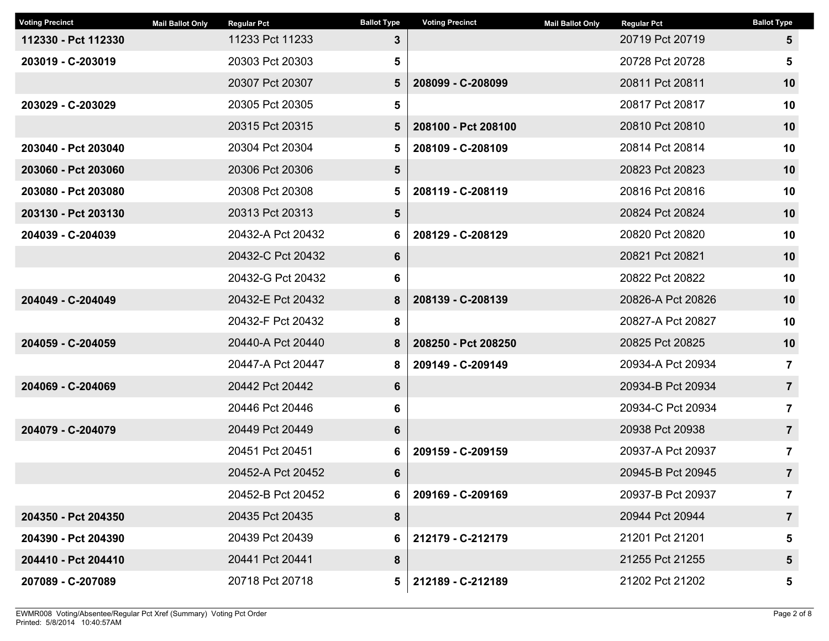| <b>Voting Precinct</b> | <b>Mail Ballot Only</b> | <b>Regular Pct</b> | <b>Ballot Type</b> | <b>Voting Precinct</b> | <b>Mail Ballot Only</b> | <b>Regular Pct</b> | <b>Ballot Type</b> |
|------------------------|-------------------------|--------------------|--------------------|------------------------|-------------------------|--------------------|--------------------|
| 112330 - Pct 112330    |                         | 11233 Pct 11233    | $3\phantom{.0}$    |                        |                         | 20719 Pct 20719    | 5                  |
| 203019 - C-203019      |                         | 20303 Pct 20303    | 5                  |                        |                         | 20728 Pct 20728    | 5                  |
|                        |                         | 20307 Pct 20307    | 5                  | 208099 - C-208099      |                         | 20811 Pct 20811    | 10                 |
| 203029 - C-203029      |                         | 20305 Pct 20305    | 5                  |                        |                         | 20817 Pct 20817    | 10                 |
|                        |                         | 20315 Pct 20315    | 5                  | 208100 - Pct 208100    |                         | 20810 Pct 20810    | 10                 |
| 203040 - Pct 203040    |                         | 20304 Pct 20304    | 5                  | 208109 - C-208109      |                         | 20814 Pct 20814    | 10                 |
| 203060 - Pct 203060    |                         | 20306 Pct 20306    | 5                  |                        |                         | 20823 Pct 20823    | 10                 |
| 203080 - Pct 203080    |                         | 20308 Pct 20308    | 5                  | 208119 - C-208119      |                         | 20816 Pct 20816    | 10                 |
| 203130 - Pct 203130    |                         | 20313 Pct 20313    | $5\phantom{.0}$    |                        |                         | 20824 Pct 20824    | 10                 |
| 204039 - C-204039      |                         | 20432-A Pct 20432  | 6                  | 208129 - C-208129      |                         | 20820 Pct 20820    | 10                 |
|                        |                         | 20432-C Pct 20432  | 6                  |                        |                         | 20821 Pct 20821    | 10                 |
|                        |                         | 20432-G Pct 20432  | 6                  |                        |                         | 20822 Pct 20822    | 10                 |
| 204049 - C-204049      |                         | 20432-E Pct 20432  | 8                  | 208139 - C-208139      |                         | 20826-A Pct 20826  | 10                 |
|                        |                         | 20432-F Pct 20432  | 8                  |                        |                         | 20827-A Pct 20827  | 10                 |
| 204059 - C-204059      |                         | 20440-A Pct 20440  | 8                  | 208250 - Pct 208250    |                         | 20825 Pct 20825    | 10                 |
|                        |                         | 20447-A Pct 20447  | 8                  | 209149 - C-209149      |                         | 20934-A Pct 20934  | $\overline{7}$     |
| 204069 - C-204069      |                         | 20442 Pct 20442    | 6                  |                        |                         | 20934-B Pct 20934  | $\overline{7}$     |
|                        |                         | 20446 Pct 20446    | 6                  |                        |                         | 20934-C Pct 20934  | $\overline{7}$     |
| 204079 - C-204079      |                         | 20449 Pct 20449    | $6\phantom{a}$     |                        |                         | 20938 Pct 20938    | $\overline{7}$     |
|                        |                         | 20451 Pct 20451    | 6                  | 209159 - C-209159      |                         | 20937-A Pct 20937  | 7                  |
|                        |                         | 20452-A Pct 20452  | 6                  |                        |                         | 20945-B Pct 20945  | $\overline{7}$     |
|                        |                         | 20452-B Pct 20452  | 6                  | 209169 - C-209169      |                         | 20937-B Pct 20937  | 7                  |
| 204350 - Pct 204350    |                         | 20435 Pct 20435    | 8                  |                        |                         | 20944 Pct 20944    | $\overline{7}$     |
| 204390 - Pct 204390    |                         | 20439 Pct 20439    | 6                  | 212179 - C-212179      |                         | 21201 Pct 21201    | 5                  |
| 204410 - Pct 204410    |                         | 20441 Pct 20441    | 8                  |                        |                         | 21255 Pct 21255    | 5                  |
| 207089 - C-207089      |                         | 20718 Pct 20718    | 5                  | 212189 - C-212189      |                         | 21202 Pct 21202    | 5                  |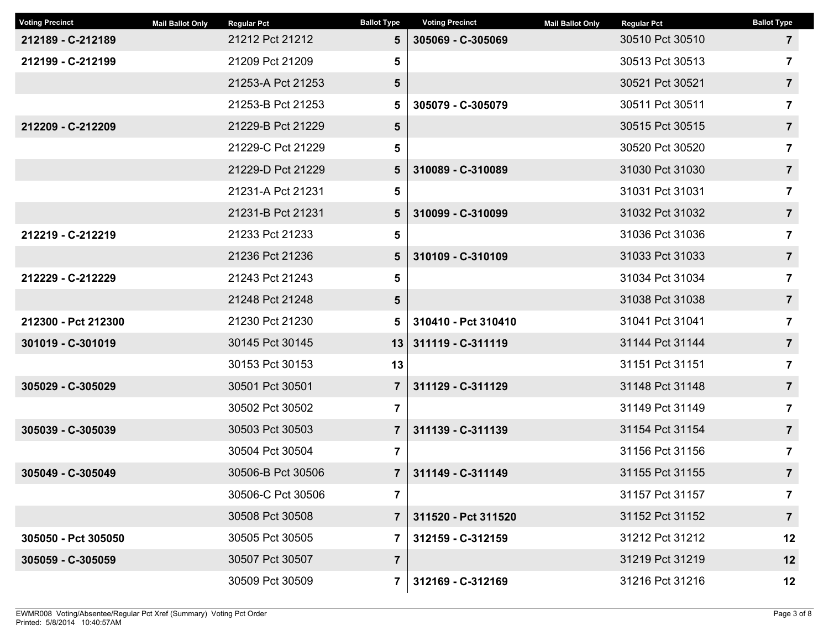| <b>Voting Precinct</b> | <b>Mail Ballot Only</b> | <b>Regular Pct</b> | <b>Ballot Type</b> | <b>Voting Precinct</b> | <b>Mail Ballot Only</b> | <b>Regular Pct</b> | <b>Ballot Type</b> |
|------------------------|-------------------------|--------------------|--------------------|------------------------|-------------------------|--------------------|--------------------|
| 212189 - C-212189      |                         | 21212 Pct 21212    | $5\phantom{.0}$    | 305069 - C-305069      |                         | 30510 Pct 30510    | $\mathbf{7}$       |
| 212199 - C-212199      |                         | 21209 Pct 21209    | 5                  |                        |                         | 30513 Pct 30513    | 7                  |
|                        |                         | 21253-A Pct 21253  | 5                  |                        |                         | 30521 Pct 30521    | $\overline{7}$     |
|                        |                         | 21253-B Pct 21253  | 5                  | 305079 - C-305079      |                         | 30511 Pct 30511    | 7                  |
| 212209 - C-212209      |                         | 21229-B Pct 21229  | 5                  |                        |                         | 30515 Pct 30515    | $\overline{7}$     |
|                        |                         | 21229-C Pct 21229  | 5                  |                        |                         | 30520 Pct 30520    | $\overline{7}$     |
|                        |                         | 21229-D Pct 21229  | $5\phantom{.0}$    | 310089 - C-310089      |                         | 31030 Pct 31030    | $\overline{7}$     |
|                        |                         | 21231-A Pct 21231  | 5                  |                        |                         | 31031 Pct 31031    | $\overline{7}$     |
|                        |                         | 21231-B Pct 21231  | $5\phantom{.0}$    | 310099 - C-310099      |                         | 31032 Pct 31032    | $\overline{7}$     |
| 212219 - C-212219      |                         | 21233 Pct 21233    | 5                  |                        |                         | 31036 Pct 31036    | $\overline{7}$     |
|                        |                         | 21236 Pct 21236    | 5                  | 310109 - C-310109      |                         | 31033 Pct 31033    | $\overline{7}$     |
| 212229 - C-212229      |                         | 21243 Pct 21243    | 5                  |                        |                         | 31034 Pct 31034    | $\overline{7}$     |
|                        |                         | 21248 Pct 21248    | 5                  |                        |                         | 31038 Pct 31038    | $\overline{7}$     |
| 212300 - Pct 212300    |                         | 21230 Pct 21230    | 5                  | 310410 - Pct 310410    |                         | 31041 Pct 31041    | $\overline{7}$     |
| 301019 - C-301019      |                         | 30145 Pct 30145    | 13                 | 311119 - C-311119      |                         | 31144 Pct 31144    | $\overline{7}$     |
|                        |                         | 30153 Pct 30153    | 13                 |                        |                         | 31151 Pct 31151    | 7                  |
| 305029 - C-305029      |                         | 30501 Pct 30501    | $\overline{7}$     | 311129 - C-311129      |                         | 31148 Pct 31148    | $\overline{7}$     |
|                        |                         | 30502 Pct 30502    | $\overline{7}$     |                        |                         | 31149 Pct 31149    | $\overline{7}$     |
| 305039 - C-305039      |                         | 30503 Pct 30503    | $\overline{7}$     | 311139 - C-311139      |                         | 31154 Pct 31154    | $\overline{7}$     |
|                        |                         | 30504 Pct 30504    | $\overline{7}$     |                        |                         | 31156 Pct 31156    | 7                  |
| 305049 - C-305049      |                         | 30506-B Pct 30506  | $\overline{7}$     | 311149 - C-311149      |                         | 31155 Pct 31155    | $\overline{7}$     |
|                        |                         | 30506-C Pct 30506  | $\overline{7}$     |                        |                         | 31157 Pct 31157    | 7                  |
|                        |                         | 30508 Pct 30508    | $\overline{7}$     | 311520 - Pct 311520    |                         | 31152 Pct 31152    | $\overline{7}$     |
| 305050 - Pct 305050    |                         | 30505 Pct 30505    | $\mathbf{7}$       | 312159 - C-312159      |                         | 31212 Pct 31212    | 12                 |
| 305059 - C-305059      |                         | 30507 Pct 30507    | $\overline{7}$     |                        |                         | 31219 Pct 31219    | 12                 |
|                        |                         | 30509 Pct 30509    | $\mathbf{7}$       | 312169 - C-312169      |                         | 31216 Pct 31216    | 12                 |
|                        |                         |                    |                    |                        |                         |                    |                    |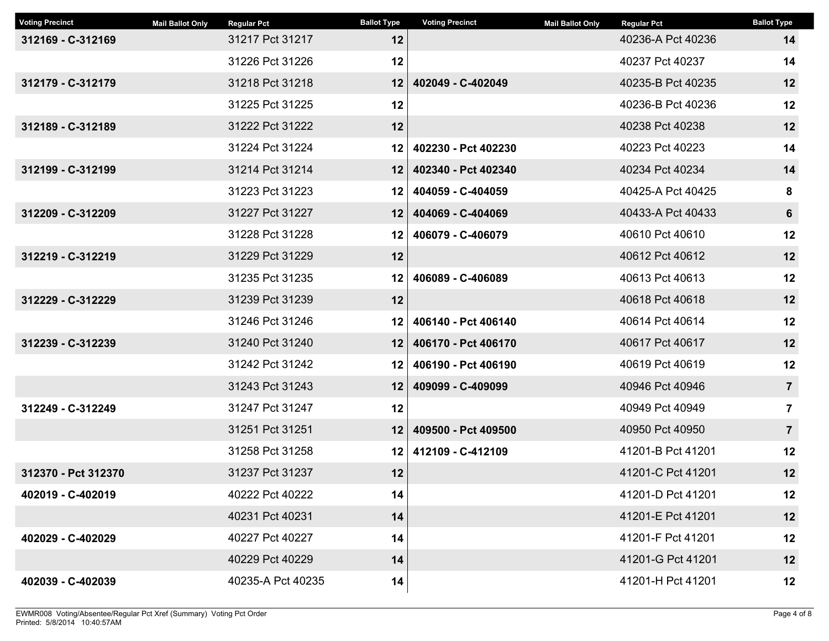| <b>Voting Precinct</b> | <b>Mail Ballot Only</b> | <b>Regular Pct</b> | <b>Ballot Type</b> | <b>Voting Precinct</b> | <b>Mail Ballot Only</b> | <b>Regular Pct</b> | <b>Ballot Type</b>      |
|------------------------|-------------------------|--------------------|--------------------|------------------------|-------------------------|--------------------|-------------------------|
| 312169 - C-312169      |                         | 31217 Pct 31217    | 12                 |                        |                         | 40236-A Pct 40236  | 14                      |
|                        |                         | 31226 Pct 31226    | 12                 |                        |                         | 40237 Pct 40237    | 14                      |
| 312179 - C-312179      |                         | 31218 Pct 31218    | 12                 | 402049 - C-402049      |                         | 40235-B Pct 40235  | 12                      |
|                        |                         | 31225 Pct 31225    | 12                 |                        |                         | 40236-B Pct 40236  | 12                      |
| 312189 - C-312189      |                         | 31222 Pct 31222    | 12                 |                        |                         | 40238 Pct 40238    | 12                      |
|                        |                         | 31224 Pct 31224    | 12                 | 402230 - Pct 402230    |                         | 40223 Pct 40223    | 14                      |
| 312199 - C-312199      |                         | 31214 Pct 31214    | 12                 | 402340 - Pct 402340    |                         | 40234 Pct 40234    | 14                      |
|                        |                         | 31223 Pct 31223    | 12                 | 404059 - C-404059      |                         | 40425-A Pct 40425  | 8                       |
| 312209 - C-312209      |                         | 31227 Pct 31227    | 12                 | 404069 - C-404069      |                         | 40433-A Pct 40433  | 6                       |
|                        |                         | 31228 Pct 31228    | 12                 | 406079 - C-406079      |                         | 40610 Pct 40610    | 12                      |
| 312219 - C-312219      |                         | 31229 Pct 31229    | 12                 |                        |                         | 40612 Pct 40612    | 12                      |
|                        |                         | 31235 Pct 31235    | 12                 | 406089 - C-406089      |                         | 40613 Pct 40613    | 12                      |
| 312229 - C-312229      |                         | 31239 Pct 31239    | 12                 |                        |                         | 40618 Pct 40618    | 12                      |
|                        |                         | 31246 Pct 31246    | 12                 | 406140 - Pct 406140    |                         | 40614 Pct 40614    | 12                      |
| 312239 - C-312239      |                         | 31240 Pct 31240    | 12                 | 406170 - Pct 406170    |                         | 40617 Pct 40617    | 12                      |
|                        |                         | 31242 Pct 31242    | 12                 | 406190 - Pct 406190    |                         | 40619 Pct 40619    | 12                      |
|                        |                         | 31243 Pct 31243    | 12                 | 409099 - C-409099      |                         | 40946 Pct 40946    | $\overline{7}$          |
| 312249 - C-312249      |                         | 31247 Pct 31247    | 12                 |                        |                         | 40949 Pct 40949    | $\overline{\mathbf{7}}$ |
|                        |                         | 31251 Pct 31251    | 12                 | 409500 - Pct 409500    |                         | 40950 Pct 40950    | $\overline{7}$          |
|                        |                         | 31258 Pct 31258    | 12                 | 412109 - C-412109      |                         | 41201-B Pct 41201  | 12                      |
| 312370 - Pct 312370    |                         | 31237 Pct 31237    | 12                 |                        |                         | 41201-C Pct 41201  | 12                      |
| 402019 - C-402019      |                         | 40222 Pct 40222    | 14                 |                        |                         | 41201-D Pct 41201  | 12                      |
|                        |                         | 40231 Pct 40231    | 14                 |                        |                         | 41201-E Pct 41201  | 12                      |
| 402029 - C-402029      |                         | 40227 Pct 40227    | 14                 |                        |                         | 41201-F Pct 41201  | 12                      |
|                        |                         | 40229 Pct 40229    | 14                 |                        |                         | 41201-G Pct 41201  | 12                      |
| 402039 - C-402039      |                         | 40235-A Pct 40235  | 14                 |                        |                         | 41201-H Pct 41201  | 12                      |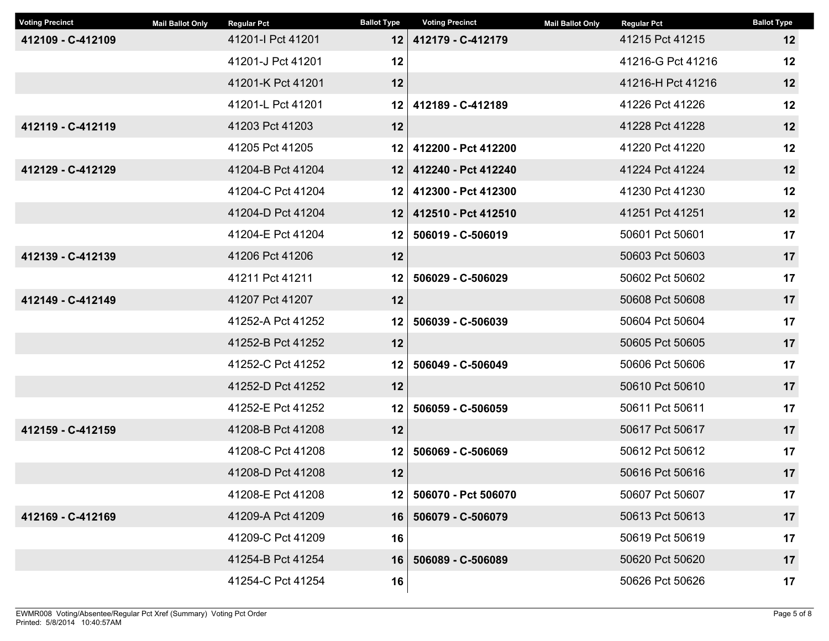| <b>Voting Precinct</b> | <b>Mail Ballot Only</b> | <b>Regular Pct</b> | <b>Ballot Type</b> | <b>Voting Precinct</b> | <b>Mail Ballot Only</b> | <b>Regular Pct</b> | <b>Ballot Type</b> |
|------------------------|-------------------------|--------------------|--------------------|------------------------|-------------------------|--------------------|--------------------|
| 412109 - C-412109      |                         | 41201-I Pct 41201  | 12                 | 412179 - C-412179      |                         | 41215 Pct 41215    | 12                 |
|                        |                         | 41201-J Pct 41201  | 12                 |                        |                         | 41216-G Pct 41216  | 12                 |
|                        |                         | 41201-K Pct 41201  | 12                 |                        |                         | 41216-H Pct 41216  | 12                 |
|                        |                         | 41201-L Pct 41201  | 12 <sub>1</sub>    | 412189 - C-412189      |                         | 41226 Pct 41226    | 12                 |
| 412119 - C-412119      |                         | 41203 Pct 41203    | 12                 |                        |                         | 41228 Pct 41228    | 12                 |
|                        |                         | 41205 Pct 41205    | 12 <sub>1</sub>    | 412200 - Pct 412200    |                         | 41220 Pct 41220    | 12                 |
| 412129 - C-412129      |                         | 41204-B Pct 41204  | 12 <sub>1</sub>    | 412240 - Pct 412240    |                         | 41224 Pct 41224    | 12                 |
|                        |                         | 41204-C Pct 41204  | 12 I               | 412300 - Pct 412300    |                         | 41230 Pct 41230    | 12                 |
|                        |                         | 41204-D Pct 41204  | 12 <sub>1</sub>    | 412510 - Pct 412510    |                         | 41251 Pct 41251    | 12                 |
|                        |                         | 41204-E Pct 41204  | 12                 | 506019 - C-506019      |                         | 50601 Pct 50601    | 17                 |
| 412139 - C-412139      |                         | 41206 Pct 41206    | 12                 |                        |                         | 50603 Pct 50603    | 17                 |
|                        |                         | 41211 Pct 41211    | 12                 | 506029 - C-506029      |                         | 50602 Pct 50602    | 17                 |
| 412149 - C-412149      |                         | 41207 Pct 41207    | 12                 |                        |                         | 50608 Pct 50608    | 17                 |
|                        |                         | 41252-A Pct 41252  | 12                 | 506039 - C-506039      |                         | 50604 Pct 50604    | 17                 |
|                        |                         | 41252-B Pct 41252  | 12                 |                        |                         | 50605 Pct 50605    | 17                 |
|                        |                         | 41252-C Pct 41252  | 12                 | 506049 - C-506049      |                         | 50606 Pct 50606    | 17                 |
|                        |                         | 41252-D Pct 41252  | 12                 |                        |                         | 50610 Pct 50610    | 17                 |
|                        |                         | 41252-E Pct 41252  | 12                 | 506059 - C-506059      |                         | 50611 Pct 50611    | 17                 |
| 412159 - C-412159      |                         | 41208-B Pct 41208  | 12                 |                        |                         | 50617 Pct 50617    | 17                 |
|                        |                         | 41208-C Pct 41208  | 12 <sub>2</sub>    | 506069 - C-506069      |                         | 50612 Pct 50612    | 17                 |
|                        |                         | 41208-D Pct 41208  | 12                 |                        |                         | 50616 Pct 50616    | 17                 |
|                        |                         | 41208-E Pct 41208  | 12                 | 506070 - Pct 506070    |                         | 50607 Pct 50607    | 17                 |
| 412169 - C-412169      |                         | 41209-A Pct 41209  | 16                 | 506079 - C-506079      |                         | 50613 Pct 50613    | 17                 |
|                        |                         | 41209-C Pct 41209  | 16                 |                        |                         | 50619 Pct 50619    | 17                 |
|                        |                         | 41254-B Pct 41254  | 16                 | 506089 - C-506089      |                         | 50620 Pct 50620    | 17                 |
|                        |                         | 41254-C Pct 41254  | 16                 |                        |                         | 50626 Pct 50626    | 17                 |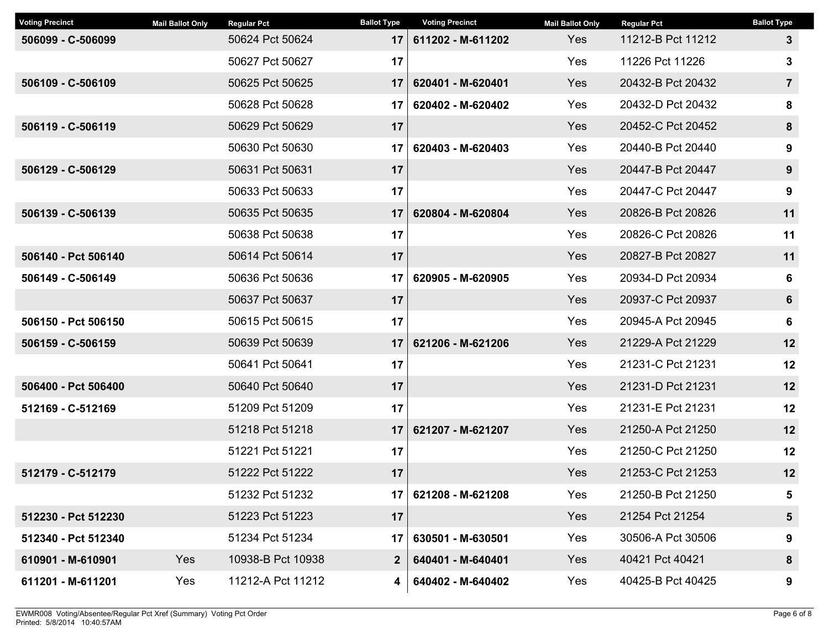| <b>Voting Precinct</b> | <b>Mail Ballot Only</b> | <b>Regular Pct</b> | <b>Ballot Type</b> | <b>Voting Precinct</b> | <b>Mail Ballot Only</b> | <b>Regular Pct</b> | <b>Ballot Type</b> |
|------------------------|-------------------------|--------------------|--------------------|------------------------|-------------------------|--------------------|--------------------|
| 506099 - C-506099      |                         | 50624 Pct 50624    | 17                 | 611202 - M-611202      | Yes                     | 11212-B Pct 11212  | $\mathbf{3}$       |
|                        |                         | 50627 Pct 50627    | 17                 |                        | Yes                     | 11226 Pct 11226    | 3                  |
| 506109 - C-506109      |                         | 50625 Pct 50625    | 17                 | 620401 - M-620401      | Yes                     | 20432-B Pct 20432  | $\overline{7}$     |
|                        |                         | 50628 Pct 50628    | 17                 | 620402 - M-620402      | Yes                     | 20432-D Pct 20432  | 8                  |
| 506119 - C-506119      |                         | 50629 Pct 50629    | 17                 |                        | Yes                     | 20452-C Pct 20452  | 8                  |
|                        |                         | 50630 Pct 50630    | 17                 | 620403 - M-620403      | Yes                     | 20440-B Pct 20440  | $\boldsymbol{9}$   |
| 506129 - C-506129      |                         | 50631 Pct 50631    | 17                 |                        | <b>Yes</b>              | 20447-B Pct 20447  | 9                  |
|                        |                         | 50633 Pct 50633    | 17                 |                        | Yes                     | 20447-C Pct 20447  | $\boldsymbol{9}$   |
| 506139 - C-506139      |                         | 50635 Pct 50635    | 17                 | 620804 - M-620804      | <b>Yes</b>              | 20826-B Pct 20826  | 11                 |
|                        |                         | 50638 Pct 50638    | 17                 |                        | Yes                     | 20826-C Pct 20826  | 11                 |
| 506140 - Pct 506140    |                         | 50614 Pct 50614    | 17                 |                        | Yes                     | 20827-B Pct 20827  | 11                 |
| 506149 - C-506149      |                         | 50636 Pct 50636    | 17                 | 620905 - M-620905      | Yes                     | 20934-D Pct 20934  | 6                  |
|                        |                         | 50637 Pct 50637    | 17                 |                        | Yes                     | 20937-C Pct 20937  | 6                  |
| 506150 - Pct 506150    |                         | 50615 Pct 50615    | 17                 |                        | Yes                     | 20945-A Pct 20945  | 6                  |
| 506159 - C-506159      |                         | 50639 Pct 50639    | 17                 | 621206 - M-621206      | Yes                     | 21229-A Pct 21229  | 12                 |
|                        |                         | 50641 Pct 50641    | 17                 |                        | <b>Yes</b>              | 21231-C Pct 21231  | 12                 |
| 506400 - Pct 506400    |                         | 50640 Pct 50640    | 17                 |                        | <b>Yes</b>              | 21231-D Pct 21231  | 12                 |
| 512169 - C-512169      |                         | 51209 Pct 51209    | 17                 |                        | Yes                     | 21231-E Pct 21231  | 12                 |
|                        |                         | 51218 Pct 51218    | 17                 | 621207 - M-621207      | Yes                     | 21250-A Pct 21250  | 12                 |
|                        |                         | 51221 Pct 51221    | 17                 |                        | Yes                     | 21250-C Pct 21250  | 12                 |
| 512179 - C-512179      |                         | 51222 Pct 51222    | 17                 |                        | <b>Yes</b>              | 21253-C Pct 21253  | 12                 |
|                        |                         | 51232 Pct 51232    | 17                 | 621208 - M-621208      | Yes                     | 21250-B Pct 21250  | 5                  |
| 512230 - Pct 512230    |                         | 51223 Pct 51223    | 17                 |                        | Yes                     | 21254 Pct 21254    | 5                  |
| 512340 - Pct 512340    |                         | 51234 Pct 51234    | 17 <sup>1</sup>    | 630501 - M-630501      | Yes                     | 30506-A Pct 30506  | 9                  |
| 610901 - M-610901      | Yes                     | 10938-B Pct 10938  | $\mathbf{2}$       | 640401 - M-640401      | Yes                     | 40421 Pct 40421    | 8                  |
| 611201 - M-611201      | Yes                     | 11212-A Pct 11212  | 4                  | 640402 - M-640402      | Yes                     | 40425-B Pct 40425  | 9                  |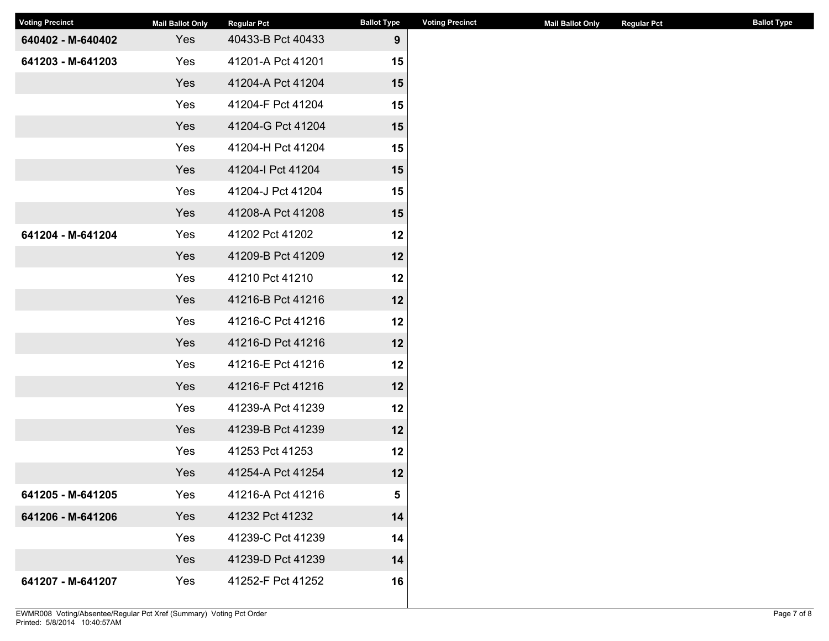| <b>Voting Precinct</b> | <b>Mail Ballot Only</b> | <b>Regular Pct</b> | <b>Ballot Type</b> | <b>Voting Precinct</b> | <b>Mail Ballot Only</b> | <b>Regular Pct</b> | <b>Ballot Type</b> |
|------------------------|-------------------------|--------------------|--------------------|------------------------|-------------------------|--------------------|--------------------|
| 640402 - M-640402      | Yes                     | 40433-B Pct 40433  | 9                  |                        |                         |                    |                    |
| 641203 - M-641203      | Yes                     | 41201-A Pct 41201  | 15                 |                        |                         |                    |                    |
|                        | Yes                     | 41204-A Pct 41204  | 15                 |                        |                         |                    |                    |
|                        | Yes                     | 41204-F Pct 41204  | 15                 |                        |                         |                    |                    |
|                        | Yes                     | 41204-G Pct 41204  | 15                 |                        |                         |                    |                    |
|                        | Yes                     | 41204-H Pct 41204  | 15                 |                        |                         |                    |                    |
|                        | Yes                     | 41204-I Pct 41204  | 15                 |                        |                         |                    |                    |
|                        | Yes                     | 41204-J Pct 41204  | 15                 |                        |                         |                    |                    |
|                        | Yes                     | 41208-A Pct 41208  | 15                 |                        |                         |                    |                    |
| 641204 - M-641204      | Yes                     | 41202 Pct 41202    | 12                 |                        |                         |                    |                    |
|                        | Yes                     | 41209-B Pct 41209  | 12                 |                        |                         |                    |                    |
|                        | Yes                     | 41210 Pct 41210    | 12                 |                        |                         |                    |                    |
|                        | Yes                     | 41216-B Pct 41216  | 12                 |                        |                         |                    |                    |
|                        | Yes                     | 41216-C Pct 41216  | 12                 |                        |                         |                    |                    |
|                        | Yes                     | 41216-D Pct 41216  | 12                 |                        |                         |                    |                    |
|                        | Yes                     | 41216-E Pct 41216  | 12                 |                        |                         |                    |                    |
|                        | Yes                     | 41216-F Pct 41216  | 12                 |                        |                         |                    |                    |
|                        | Yes                     | 41239-A Pct 41239  | 12                 |                        |                         |                    |                    |
|                        | Yes                     | 41239-B Pct 41239  | 12                 |                        |                         |                    |                    |
|                        | Yes                     | 41253 Pct 41253    | 12                 |                        |                         |                    |                    |
|                        | Yes                     | 41254-A Pct 41254  | 12                 |                        |                         |                    |                    |
| 641205 - M-641205      | Yes                     | 41216-A Pct 41216  | 5                  |                        |                         |                    |                    |
| 641206 - M-641206      | Yes                     | 41232 Pct 41232    | 14                 |                        |                         |                    |                    |
|                        | Yes                     | 41239-C Pct 41239  | 14                 |                        |                         |                    |                    |
|                        | Yes                     | 41239-D Pct 41239  | 14                 |                        |                         |                    |                    |
| 641207 - M-641207      | Yes                     | 41252-F Pct 41252  | 16                 |                        |                         |                    |                    |